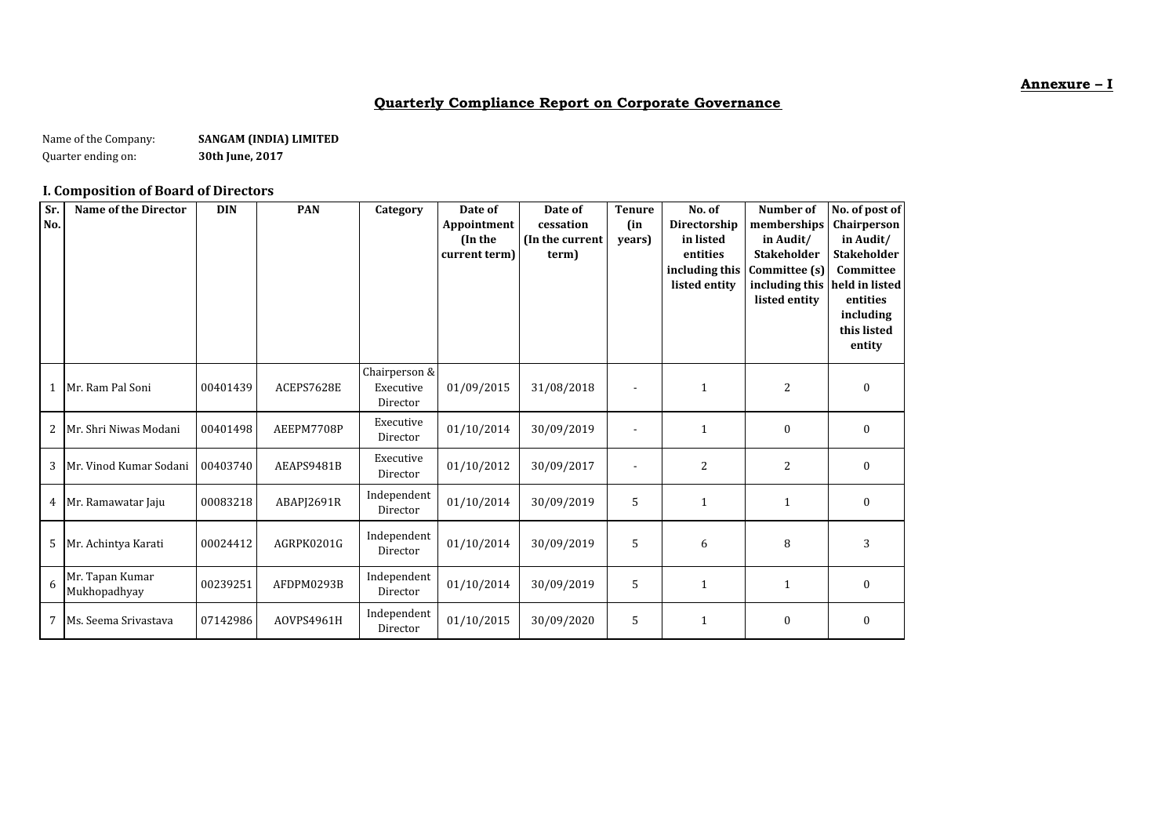### **Annexure – I**

## **Quarterly Compliance Report on Corporate Governance**

Name of the Company: **SANGAM (INDIA) LIMITED**<br>Quarter ending on: **Sangle 30th June, 2017** Quarter ending on:

### **I. Composition of Board of Directors**

| Sr.<br>No. | <b>Name of the Director</b>     | <b>DIN</b> | <b>PAN</b> | Category                               | Date of<br>Appointment<br>(In the<br>current term) | Date of<br>cessation<br>(In the current<br>term) | <b>Tenure</b><br>(in<br>years) | No. of<br>Directorship<br>in listed<br>entities<br>including this<br>listed entity | Number of<br>memberships<br>in Audit/<br><b>Stakeholder</b><br>Committee (s)<br>including this<br>listed entity | No. of post of<br>Chairperson<br>in Audit/<br><b>Stakeholder</b><br>Committee<br>held in listed<br>entities<br>including<br>this listed<br>entity |
|------------|---------------------------------|------------|------------|----------------------------------------|----------------------------------------------------|--------------------------------------------------|--------------------------------|------------------------------------------------------------------------------------|-----------------------------------------------------------------------------------------------------------------|---------------------------------------------------------------------------------------------------------------------------------------------------|
|            | 1 Mr. Ram Pal Soni              | 00401439   | ACEPS7628E | Chairperson &<br>Executive<br>Director | 01/09/2015                                         | 31/08/2018                                       |                                | $\mathbf{1}$                                                                       | $\overline{c}$                                                                                                  | $\boldsymbol{0}$                                                                                                                                  |
| 2          | Mr. Shri Niwas Modani           | 00401498   | AEEPM7708P | Executive<br>Director                  | 01/10/2014                                         | 30/09/2019                                       |                                | $\mathbf{1}$                                                                       | $\boldsymbol{0}$                                                                                                | $\boldsymbol{0}$                                                                                                                                  |
| 3          | Mr. Vinod Kumar Sodani          | 00403740   | AEAPS9481B | Executive<br>Director                  | 01/10/2012                                         | 30/09/2017                                       |                                | 2                                                                                  | $\overline{2}$                                                                                                  | $\theta$                                                                                                                                          |
|            | 4 Mr. Ramawatar Jaju            | 00083218   | ABAPJ2691R | Independent<br>Director                | 01/10/2014                                         | 30/09/2019                                       | 5                              | $\mathbf{1}$                                                                       | $\mathbf{1}$                                                                                                    | $\boldsymbol{0}$                                                                                                                                  |
| 5          | Mr. Achintya Karati             | 00024412   | AGRPK0201G | Independent<br>Director                | 01/10/2014                                         | 30/09/2019                                       | 5                              | 6                                                                                  | 8                                                                                                               | 3                                                                                                                                                 |
| 6          | Mr. Tapan Kumar<br>Mukhopadhyay | 00239251   | AFDPM0293B | Independent<br>Director                | 01/10/2014                                         | 30/09/2019                                       | 5                              | $\mathbf{1}$                                                                       | $\mathbf{1}$                                                                                                    | $\boldsymbol{0}$                                                                                                                                  |
| 7          | Ms. Seema Srivastava            | 07142986   | AOVPS4961H | Independent<br>Director                | 01/10/2015                                         | 30/09/2020                                       | 5                              | $\mathbf{1}$                                                                       | $\boldsymbol{0}$                                                                                                | 0                                                                                                                                                 |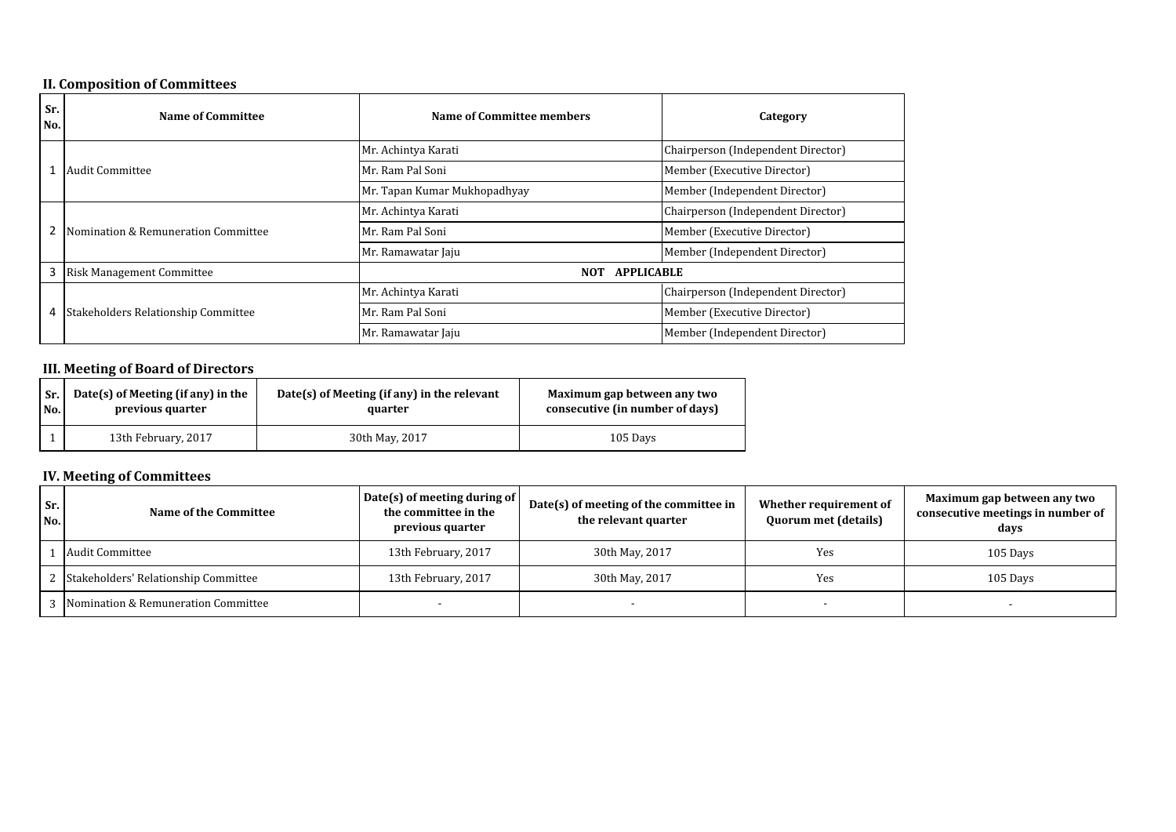### **II. Composition of Committees**

| Sr.<br>No. | Name of Committee                          | Name of Committee members                       | Category                           |
|------------|--------------------------------------------|-------------------------------------------------|------------------------------------|
|            |                                            | Mr. Achintya Karati                             | Chairperson (Independent Director) |
|            | <b>Audit Committee</b>                     | Member (Executive Director)<br>Mr. Ram Pal Soni |                                    |
|            |                                            | Mr. Tapan Kumar Mukhopadhyay                    | Member (Independent Director)      |
|            |                                            | Mr. Achintya Karati                             | Chairperson (Independent Director) |
|            | Nomination & Remuneration Committee        | Mr. Ram Pal Soni                                | Member (Executive Director)        |
|            |                                            | Mr. Ramawatar Jaju                              | Member (Independent Director)      |
| 3          | Risk Management Committee                  | <b>NOT</b><br><b>APPLICABLE</b>                 |                                    |
|            |                                            | Mr. Achintya Karati                             | Chairperson (Independent Director) |
| 4          | <b>Stakeholders Relationship Committee</b> | Mr. Ram Pal Soni                                | Member (Executive Director)        |
|            |                                            | Mr. Ramawatar Jaju                              | Member (Independent Director)      |

# **III. Meeting of Board of Directors**

| Sr. | Date(s) of Meeting (if any) in the | $Date(s)$ of Meeting (if any) in the relevant | Maximum gap between any two     |  |
|-----|------------------------------------|-----------------------------------------------|---------------------------------|--|
| No. | previous quarter                   | quarter                                       | consecutive (in number of days) |  |
|     | 13th February, 2017                | 30th May, 2017                                | 105 Days                        |  |

## **IV. Meeting of Committees**

| Sr.<br>No. | Name of the Committee                  | Date(s) of meeting during of<br>the committee in the<br>previous quarter | Date(s) of meeting of the committee in<br>the relevant quarter | Whether requirement of<br><b>Quorum met (details)</b> | Maximum gap between any two<br>consecutive meetings in number of<br>days |
|------------|----------------------------------------|--------------------------------------------------------------------------|----------------------------------------------------------------|-------------------------------------------------------|--------------------------------------------------------------------------|
|            | Audit Committee                        | 13th February, 2017                                                      | 30th May, 2017                                                 | Yes                                                   | 105 Days                                                                 |
|            | 2 Stakeholders' Relationship Committee | 13th February, 2017                                                      | 30th May, 2017                                                 | Yes                                                   | 105 Days                                                                 |
|            | Nomination & Remuneration Committee    |                                                                          |                                                                |                                                       |                                                                          |